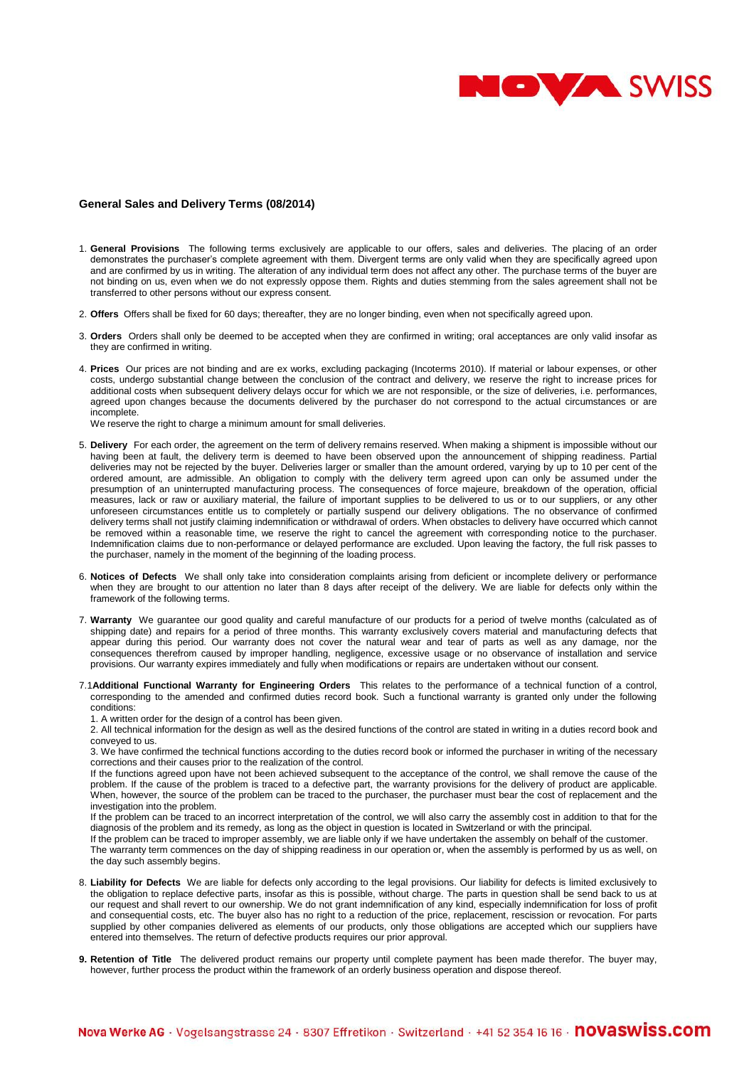

## **General Sales and Delivery Terms (08/2014)**

- 1. **General Provisions** The following terms exclusively are applicable to our offers, sales and deliveries. The placing of an order demonstrates the purchaser's complete agreement with them. Divergent terms are only valid when they are specifically agreed upon and are confirmed by us in writing. The alteration of any individual term does not affect any other. The purchase terms of the buyer are not binding on us, even when we do not expressly oppose them. Rights and duties stemming from the sales agreement shall not be transferred to other persons without our express consent.
- 2. **Offers** Offers shall be fixed for 60 days; thereafter, they are no longer binding, even when not specifically agreed upon.
- 3. **Orders** Orders shall only be deemed to be accepted when they are confirmed in writing; oral acceptances are only valid insofar as they are confirmed in writing.
- 4. **Prices** Our prices are not binding and are ex works, excluding packaging (Incoterms 2010). If material or labour expenses, or other costs, undergo substantial change between the conclusion of the contract and delivery, we reserve the right to increase prices for additional costs when subsequent delivery delays occur for which we are not responsible, or the size of deliveries, i.e. performances, agreed upon changes because the documents delivered by the purchaser do not correspond to the actual circumstances or are incomplete.

We reserve the right to charge a minimum amount for small deliveries.

- 5. **Delivery** For each order, the agreement on the term of delivery remains reserved. When making a shipment is impossible without our having been at fault, the delivery term is deemed to have been observed upon the announcement of shipping readiness. Partial deliveries may not be rejected by the buyer. Deliveries larger or smaller than the amount ordered, varying by up to 10 per cent of the ordered amount, are admissible. An obligation to comply with the delivery term agreed upon can only be assumed under the presumption of an uninterrupted manufacturing process. The consequences of force majeure, breakdown of the operation, official measures, lack or raw or auxiliary material, the failure of important supplies to be delivered to us or to our suppliers, or any other unforeseen circumstances entitle us to completely or partially suspend our delivery obligations. The no observance of confirmed delivery terms shall not justify claiming indemnification or withdrawal of orders. When obstacles to delivery have occurred which cannot be removed within a reasonable time, we reserve the right to cancel the agreement with corresponding notice to the purchaser. Indemnification claims due to non-performance or delayed performance are excluded. Upon leaving the factory, the full risk passes to the purchaser, namely in the moment of the beginning of the loading process.
- 6. **Notices of Defects** We shall only take into consideration complaints arising from deficient or incomplete delivery or performance when they are brought to our attention no later than 8 days after receipt of the delivery. We are liable for defects only within the framework of the following terms.
- 7. **Warranty** We guarantee our good quality and careful manufacture of our products for a period of twelve months (calculated as of shipping date) and repairs for a period of three months. This warranty exclusively covers material and manufacturing defects that appear during this period. Our warranty does not cover the natural wear and tear of parts as well as any damage, nor the consequences therefrom caused by improper handling, negligence, excessive usage or no observance of installation and service provisions. Our warranty expires immediately and fully when modifications or repairs are undertaken without our consent.
- 7.1**Additional Functional Warranty for Engineering Orders** This relates to the performance of a technical function of a control, corresponding to the amended and confirmed duties record book. Such a functional warranty is granted only under the following conditions:

1. A written order for the design of a control has been given.

2. All technical information for the design as well as the desired functions of the control are stated in writing in a duties record book and conveyed to us.

3. We have confirmed the technical functions according to the duties record book or informed the purchaser in writing of the necessary corrections and their causes prior to the realization of the control.

If the functions agreed upon have not been achieved subsequent to the acceptance of the control, we shall remove the cause of the problem. If the cause of the problem is traced to a defective part, the warranty provisions for the delivery of product are applicable. When, however, the source of the problem can be traced to the purchaser, the purchaser must bear the cost of replacement and the investigation into the problem.

If the problem can be traced to an incorrect interpretation of the control, we will also carry the assembly cost in addition to that for the diagnosis of the problem and its remedy, as long as the object in question is located in Switzerland or with the principal.

If the problem can be traced to improper assembly, we are liable only if we have undertaken the assembly on behalf of the customer. The warranty term commences on the day of shipping readiness in our operation or, when the assembly is performed by us as well, on the day such assembly begins.

- 8. **Liability for Defects** We are liable for defects only according to the legal provisions. Our liability for defects is limited exclusively to the obligation to replace defective parts, insofar as this is possible, without charge. The parts in question shall be send back to us at our request and shall revert to our ownership. We do not grant indemnification of any kind, especially indemnification for loss of profit and consequential costs, etc. The buyer also has no right to a reduction of the price, replacement, rescission or revocation. For parts supplied by other companies delivered as elements of our products, only those obligations are accepted which our suppliers have entered into themselves. The return of defective products requires our prior approval.
- **9. Retention of Title** The delivered product remains our property until complete payment has been made therefor. The buyer may, however, further process the product within the framework of an orderly business operation and dispose thereof.